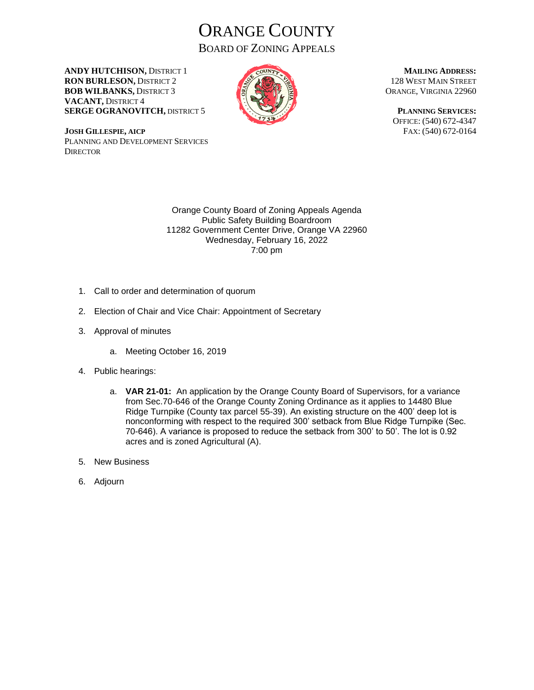ORANGE COUNTY BOARD OF ZONING APPEALS

**ANDY HUTCHISON,** DISTRICT 1 **RON BURLESON,** DISTRICT 2 **BOB WILBANKS,** DISTRICT 3 **VACANT,** DISTRICT 4 **SERGE OGRANOVITCH,** DISTRICT 5



**MAILING ADDRESS:** 128 WEST MAIN STREET ORANGE, VIRGINIA 22960

**PLANNING SERVICES:** OFFICE: (540) 672-4347 FAX: (540) 672-0164

**JOSH GILLESPIE, AICP** PLANNING AND DEVELOPMENT SERVICES **DIRECTOR** 

> Orange County Board of Zoning Appeals Agenda Public Safety Building Boardroom 11282 Government Center Drive, Orange VA 22960 Wednesday, February 16, 2022 7:00 pm

- 1. Call to order and determination of quorum
- 2. Election of Chair and Vice Chair: Appointment of Secretary
- 3. Approval of minutes
	- a. Meeting October 16, 2019
- 4. Public hearings:
	- a. **VAR 21-01:** An application by the Orange County Board of Supervisors, for a variance from Sec.70-646 of the Orange County Zoning Ordinance as it applies to 14480 Blue Ridge Turnpike (County tax parcel 55-39). An existing structure on the 400' deep lot is nonconforming with respect to the required 300' setback from Blue Ridge Turnpike (Sec. 70-646). A variance is proposed to reduce the setback from 300' to 50'. The lot is 0.92 acres and is zoned Agricultural (A).
- 5. New Business
- 6. Adjourn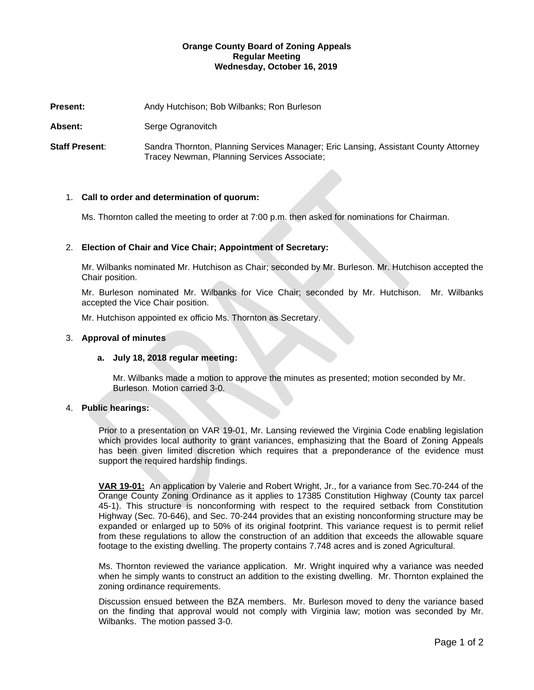#### **Wednesday, October 16, 2019 Regular Meeting Orange County Board of Zoning Appeals**

**Present:** Andy Hutchison; Bob Wilbanks; Ron Burleson

Absent: Serge Ogranovitch

**Staff Present:** Sandra Thornton, Planning Services Manager; Eric Lansing, Assistant County Attorney Tracey Newman, Planning Services Associate;

#### 1. **Call to order and determination of quorum:**

Ms. Thornton called the meeting to order at 7:00 p.m. then asked for nominations for Chairman.

#### 2. **Election of Chair and Vice Chair; Appointment of Secretary:**

Mr. Wilbanks nominated Mr. Hutchison as Chair; seconded by Mr. Burleson. Mr. Hutchison accepted the Chair position.

Mr. Burleson nominated Mr. Wilbanks for Vice Chair; seconded by Mr. Hutchison. Mr. Wilbanks accepted the Vice Chair position.

Mr. Hutchison appointed ex officio Ms. Thornton as Secretary.

#### 3. **Approval of minutes**

#### **a. July 18, 2018 regular meeting:**

Mr. Wilbanks made a motion to approve the minutes as presented; motion seconded by Mr. Burleson. Motion carried 3-0.

#### 4. **Public hearings:**

Prior to a presentation on VAR 19-01, Mr. Lansing reviewed the Virginia Code enabling legislation which provides local authority to grant variances, emphasizing that the Board of Zoning Appeals has been given limited discretion which requires that a preponderance of the evidence must support the required hardship findings.

**VAR 19-01:** An application by Valerie and Robert Wright, Jr., for a variance from Sec.70-244 of the Orange County Zoning Ordinance as it applies to 17385 Constitution Highway (County tax parcel 45-1). This structure is nonconforming with respect to the required setback from Constitution Highway (Sec. 70-646), and Sec. 70-244 provides that an existing nonconforming structure may be expanded or enlarged up to 50% of its original footprint. This variance request is to permit relief from these regulations to allow the construction of an addition that exceeds the allowable square footage to the existing dwelling. The property contains 7.748 acres and is zoned Agricultural.

Ms. Thornton reviewed the variance application. Mr. Wright inquired why a variance was needed when he simply wants to construct an addition to the existing dwelling. Mr. Thornton explained the zoning ordinance requirements.

Discussion ensued between the BZA members. Mr. Burleson moved to deny the variance based on the finding that approval would not comply with Virginia law; motion was seconded by Mr. Wilbanks. The motion passed 3-0.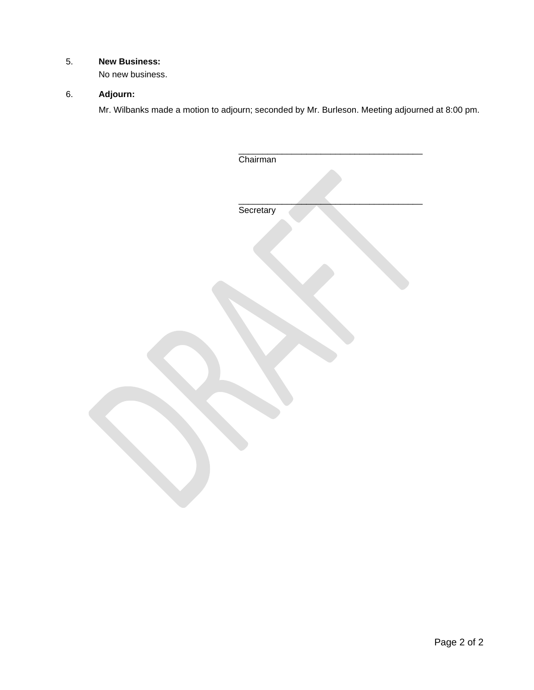## 5. **New Business:**

No new business.

## 6. **Adjourn:**

Mr. Wilbanks made a motion to adjourn; seconded by Mr. Burleson. Meeting adjourned at 8:00 pm.

| Chairman  |
|-----------|
|           |
|           |
| Secretary |
|           |
|           |
|           |
|           |
|           |
|           |
|           |
|           |
|           |
|           |
|           |
|           |
|           |
|           |
|           |
|           |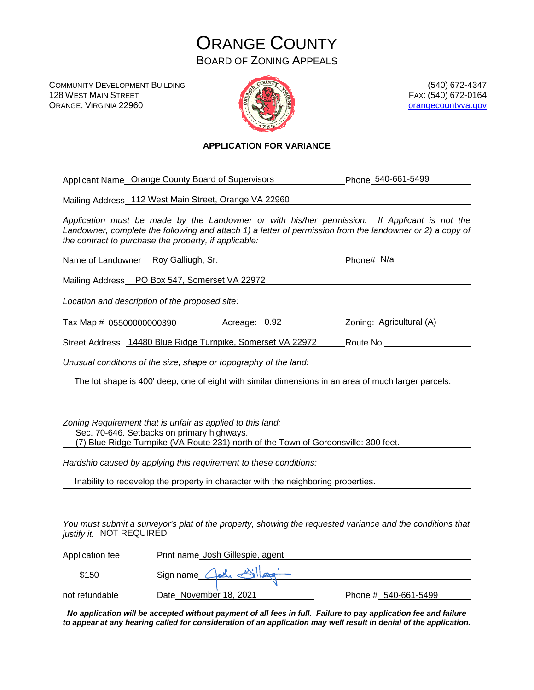

COMMUNITY DEVELOPMENT BUILDING 128 WEST MAIN STREET ORANGE, VIRGINIA 22960



(540) 672-4347 FAX: (540) 672-0164 [orangecountyva.gov](http://www.orangecova.com/)

### **APPLICATION FOR VARIANCE**

|                                                                                   | Applicant Name Orange County Board of Supervisors                                                                                                                                                                              | Phone 540-661-5499                                                                                                                                                                                         |
|-----------------------------------------------------------------------------------|--------------------------------------------------------------------------------------------------------------------------------------------------------------------------------------------------------------------------------|------------------------------------------------------------------------------------------------------------------------------------------------------------------------------------------------------------|
|                                                                                   | Mailing Address_112 West Main Street, Orange VA 22960                                                                                                                                                                          |                                                                                                                                                                                                            |
|                                                                                   | the contract to purchase the property, if applicable:                                                                                                                                                                          | Application must be made by the Landowner or with his/her permission. If Applicant is not the<br>Landowner, complete the following and attach 1) a letter of permission from the landowner or 2) a copy of |
|                                                                                   | Name of Landowner Roy Galliugh, Sr. New York Channers Phone# N/a                                                                                                                                                               |                                                                                                                                                                                                            |
|                                                                                   | Mailing Address PO Box 547, Somerset VA 22972                                                                                                                                                                                  |                                                                                                                                                                                                            |
|                                                                                   | Location and description of the proposed site:                                                                                                                                                                                 |                                                                                                                                                                                                            |
|                                                                                   | Tax Map # 05500000000390 Acreage: 0.92 Zoning: Agricultural (A)                                                                                                                                                                |                                                                                                                                                                                                            |
|                                                                                   |                                                                                                                                                                                                                                | Street Address 14480 Blue Ridge Turnpike, Somerset VA 22972 Route No.                                                                                                                                      |
|                                                                                   | Unusual conditions of the size, shape or topography of the land:                                                                                                                                                               |                                                                                                                                                                                                            |
|                                                                                   | The lot shape is 400' deep, one of eight with similar dimensions in an area of much larger parcels.                                                                                                                            |                                                                                                                                                                                                            |
|                                                                                   |                                                                                                                                                                                                                                |                                                                                                                                                                                                            |
|                                                                                   | Zoning Requirement that is unfair as applied to this land:<br>Sec. 70-646. Setbacks on primary highways.<br>(7) Blue Ridge Turnpike (VA Route 231) north of the Town of Gordonsville: 300 feet.                                |                                                                                                                                                                                                            |
|                                                                                   | Hardship caused by applying this requirement to these conditions:                                                                                                                                                              |                                                                                                                                                                                                            |
| Inability to redevelop the property in character with the neighboring properties. |                                                                                                                                                                                                                                |                                                                                                                                                                                                            |
|                                                                                   |                                                                                                                                                                                                                                |                                                                                                                                                                                                            |
| justify it. NOT REQUIRED                                                          |                                                                                                                                                                                                                                | You must submit a surveyor's plat of the property, showing the requested variance and the conditions that                                                                                                  |
| Application fee                                                                   | Print name Josh Gillespie, agent example of the state of the state of the state of the state of the state of the state of the state of the state of the state of the state of the state of the state of the state of the state |                                                                                                                                                                                                            |
| \$150                                                                             | Sign name Ask Silley                                                                                                                                                                                                           |                                                                                                                                                                                                            |
| not refundable                                                                    | Date November 18, 2021                                                                                                                                                                                                         | Phone # 540-661-5499                                                                                                                                                                                       |

not refundable Date November 18, 2021 Phone # 540-661-5499

*No application will be accepted without payment of all fees in full. Failure to pay application fee and failure to appear at any hearing called for consideration of an application may well result in denial of the application.*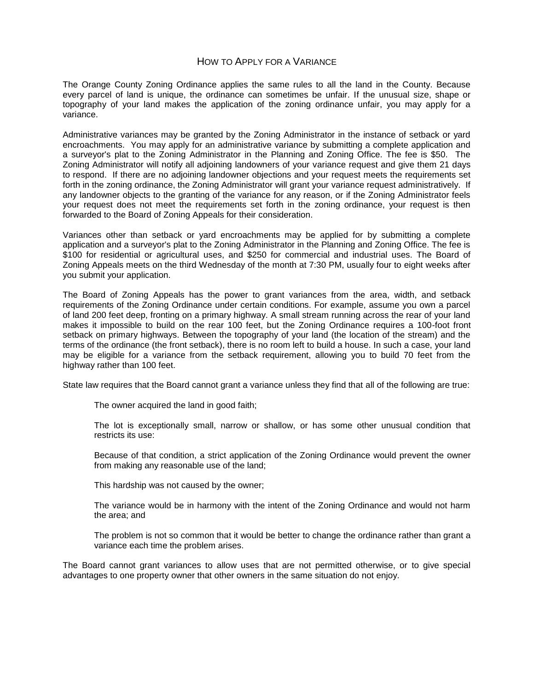#### HOW TO APPLY FOR A VARIANCE

The Orange County Zoning Ordinance applies the same rules to all the land in the County. Because every parcel of land is unique, the ordinance can sometimes be unfair. If the unusual size, shape or topography of your land makes the application of the zoning ordinance unfair, you may apply for a variance.

Administrative variances may be granted by the Zoning Administrator in the instance of setback or yard encroachments. You may apply for an administrative variance by submitting a complete application and a surveyor's plat to the Zoning Administrator in the Planning and Zoning Office. The fee is \$50. The Zoning Administrator will notify all adjoining landowners of your variance request and give them 21 days to respond. If there are no adjoining landowner objections and your request meets the requirements set forth in the zoning ordinance, the Zoning Administrator will grant your variance request administratively. If any landowner objects to the granting of the variance for any reason, or if the Zoning Administrator feels your request does not meet the requirements set forth in the zoning ordinance, your request is then forwarded to the Board of Zoning Appeals for their consideration.

Variances other than setback or yard encroachments may be applied for by submitting a complete application and a surveyor's plat to the Zoning Administrator in the Planning and Zoning Office. The fee is \$100 for residential or agricultural uses, and \$250 for commercial and industrial uses. The Board of Zoning Appeals meets on the third Wednesday of the month at 7:30 PM, usually four to eight weeks after you submit your application.

The Board of Zoning Appeals has the power to grant variances from the area, width, and setback requirements of the Zoning Ordinance under certain conditions. For example, assume you own a parcel of land 200 feet deep, fronting on a primary highway. A small stream running across the rear of your land makes it impossible to build on the rear 100 feet, but the Zoning Ordinance requires a 100-foot front setback on primary highways. Between the topography of your land (the location of the stream) and the terms of the ordinance (the front setback), there is no room left to build a house. In such a case, your land may be eligible for a variance from the setback requirement, allowing you to build 70 feet from the highway rather than 100 feet.

State law requires that the Board cannot grant a variance unless they find that all of the following are true:

The owner acquired the land in good faith;

The lot is exceptionally small, narrow or shallow, or has some other unusual condition that restricts its use:

Because of that condition, a strict application of the Zoning Ordinance would prevent the owner from making any reasonable use of the land;

This hardship was not caused by the owner;

The variance would be in harmony with the intent of the Zoning Ordinance and would not harm the area; and

The problem is not so common that it would be better to change the ordinance rather than grant a variance each time the problem arises.

The Board cannot grant variances to allow uses that are not permitted otherwise, or to give special advantages to one property owner that other owners in the same situation do not enjoy.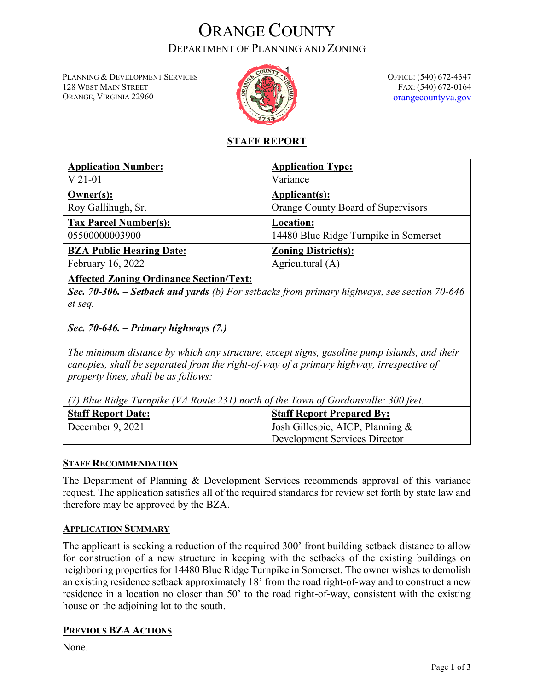# ORANGE COUNTY DEPARTMENT OF PLANNING AND ZONING

PLANNING & DEVELOPMENT SERVICES 128 WEST MAIN STREET ORANGE, VIRGINIA 22960



OFFICE: (540) 672-4347 FAX: (540) 672-0164 [orangecountyva.gov](http://www.orangecova.com/)

# **STAFF REPORT**

| <b>Application Number:</b>      | <b>Application Type:</b>              |
|---------------------------------|---------------------------------------|
| $V$ 21-01                       | Variance                              |
| $Owner(s):$                     | Applicant(s):                         |
| Roy Gallihugh, Sr.              | Orange County Board of Supervisors    |
| <b>Tax Parcel Number(s):</b>    | Location:                             |
| 05500000003900                  | 14480 Blue Ridge Turnpike in Somerset |
| <b>BZA Public Hearing Date:</b> | <b>Zoning District(s):</b>            |
| February 16, 2022               | Agricultural (A)                      |

## **Affected Zoning Ordinance Section/Text:**

*Sec. 70-306. – Setback and yards (b) For setbacks from primary highways, see section 70-646 et seq.*

*Sec. 70-646. – Primary highways (7.)*

*The minimum distance by which any structure, except signs, gasoline pump islands, and their canopies, shall be separated from the right-of-way of a primary highway, irrespective of property lines, shall be as follows:*

*(7) Blue Ridge Turnpike (VA Route 231) north of the Town of Gordonsville: 300 feet.*

| <b>Staff Report Date:</b> | <b>Staff Report Prepared By:</b>    |
|---------------------------|-------------------------------------|
| December $9, 2021$        | Josh Gillespie, AICP, Planning $\&$ |
|                           | Development Services Director       |

## **STAFF RECOMMENDATION**

The Department of Planning & Development Services recommends approval of this variance request. The application satisfies all of the required standards for review set forth by state law and therefore may be approved by the BZA.

## **APPLICATION SUMMARY**

The applicant is seeking a reduction of the required 300' front building setback distance to allow for construction of a new structure in keeping with the setbacks of the existing buildings on neighboring properties for 14480 Blue Ridge Turnpike in Somerset. The owner wishes to demolish an existing residence setback approximately 18' from the road right-of-way and to construct a new residence in a location no closer than 50' to the road right-of-way, consistent with the existing house on the adjoining lot to the south.

## **PREVIOUS BZA ACTIONS**

None.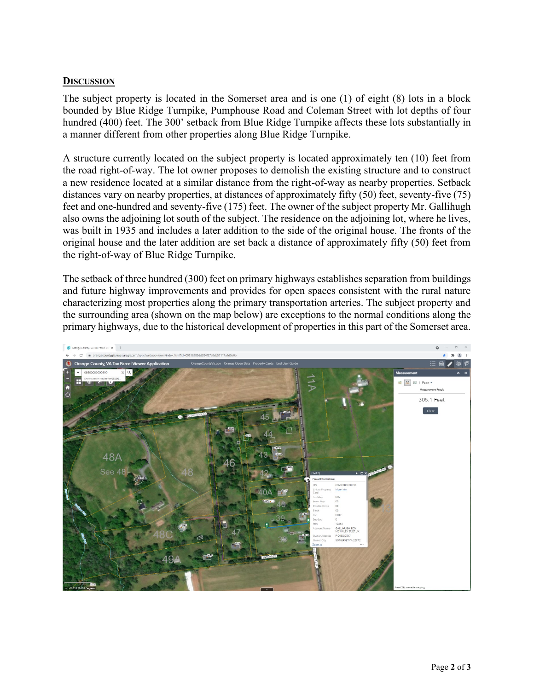## **DISCUSSION**

The subject property is located in the Somerset area and is one (1) of eight (8) lots in a block bounded by Blue Ridge Turnpike, Pumphouse Road and Coleman Street with lot depths of four hundred (400) feet. The 300' setback from Blue Ridge Turnpike affects these lots substantially in a manner different from other properties along Blue Ridge Turnpike.

A structure currently located on the subject property is located approximately ten (10) feet from the road right-of-way. The lot owner proposes to demolish the existing structure and to construct a new residence located at a similar distance from the right-of-way as nearby properties. Setback distances vary on nearby properties, at distances of approximately fifty (50) feet, seventy-five (75) feet and one-hundred and seventy-five (175) feet. The owner of the subject property Mr. Gallihugh also owns the adjoining lot south of the subject. The residence on the adjoining lot, where he lives, was built in 1935 and includes a later addition to the side of the original house. The fronts of the original house and the later addition are set back a distance of approximately fifty (50) feet from the right-of-way of Blue Ridge Turnpike.

The setback of three hundred (300) feet on primary highways establishes separation from buildings and future highway improvements and provides for open spaces consistent with the rural nature characterizing most properties along the primary transportation arteries. The subject property and the surrounding area (shown on the map below) are exceptions to the normal conditions along the primary highways, due to the historical development of properties in this part of the Somerset area.